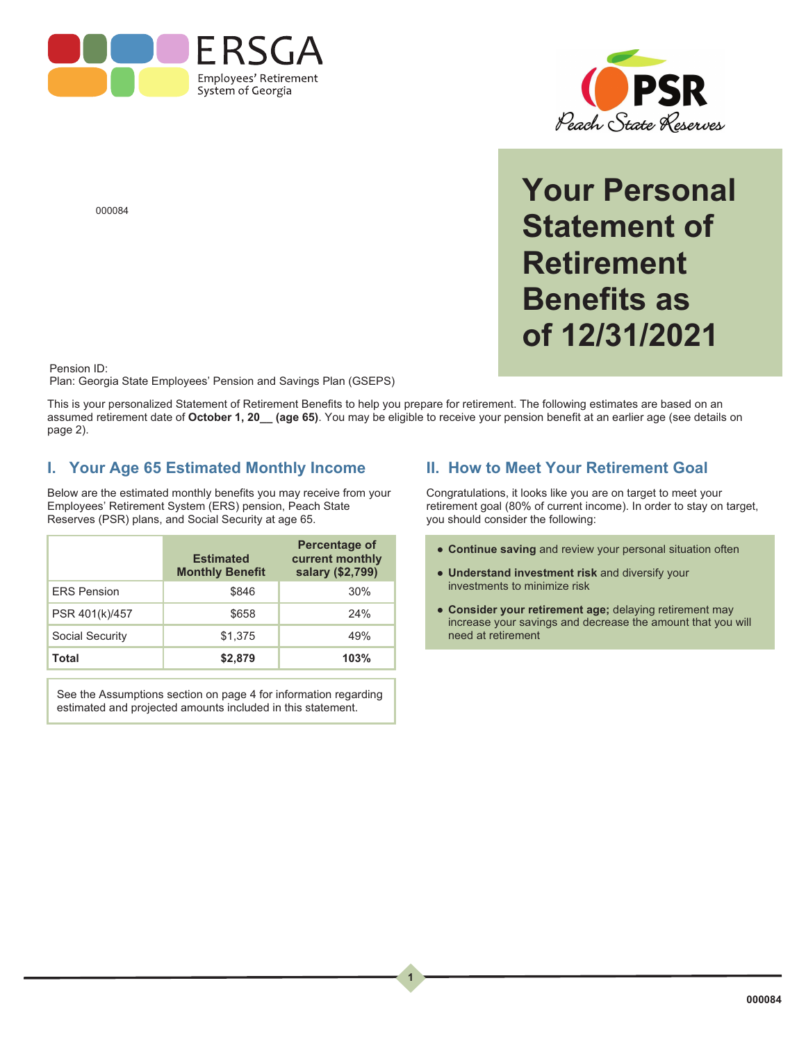



**Your Personal Statement of Retirement Benefits as of 12/31/2021**

000084

Pension ID:

Plan: Georgia State Employees' Pension and Savings Plan (GSEPS)

This is your personalized Statement of Retirement Benefits to help you prepare for retirement. The following estimates are based on an assumed retirement date of **October 1, 20\_\_ (age 65)**. You may be eligible to receive your pension benefit at an earlier age (see details on page 2).

 $\begin{array}{c} 1 \end{array}$ 

**1**

#### **I. Your Age 65 Estimated Monthly Income**

Below are the estimated monthly benefits you may receive from your Employees' Retirement System (ERS) pension, Peach State Reserves (PSR) plans, and Social Security at age 65.

|                    | <b>Estimated</b><br><b>Monthly Benefit</b> | <b>Percentage of</b><br>current monthly<br>salary (\$2,799) |
|--------------------|--------------------------------------------|-------------------------------------------------------------|
| <b>ERS Pension</b> | \$846                                      | 30%                                                         |
| PSR 401(k)/457     | \$658                                      | 24%                                                         |
| Social Security    | \$1,375                                    | 49%                                                         |
| Total              | \$2,879                                    | 103%                                                        |

See the Assumptions section on page 4 for information regarding estimated and projected amounts included in this statement.

### **II. How to Meet Your Retirement Goal**

Congratulations, it looks like you are on target to meet your retirement goal (80% of current income). In order to stay on target, you should consider the following:

- **Continue saving** and review your personal situation often
- **Understand investment risk** and diversify your investments to minimize risk
- **Consider your retirement age;** delaying retirement may increase your savings and decrease the amount that you will need at retirement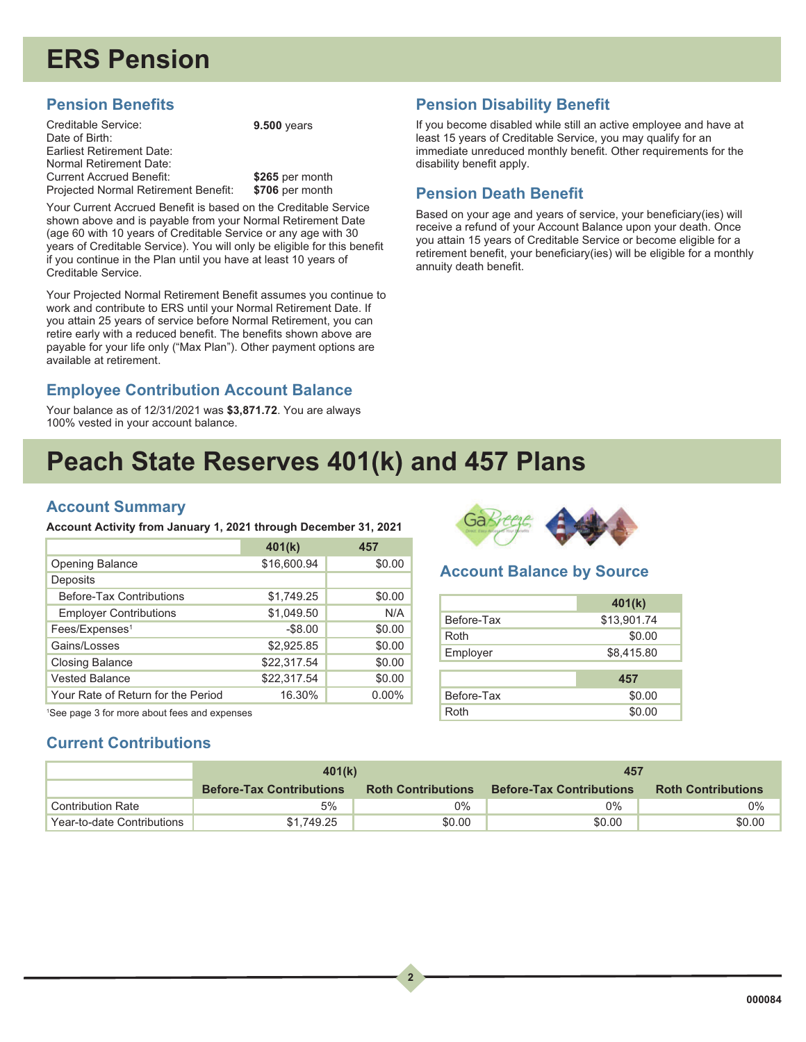# **ERS Pension**

### **Pension Benefits**

Creditable Service: Date of Birth: Earliest Retirement Date: Normal Retirement Date: Current Accrued Benefit: Projected Normal Retirement Benefit:

**9.500** years

**\$265** per month **\$706** per month

Your Current Accrued Benefit is based on the Creditable Service shown above and is payable from your Normal Retirement Date (age 60 with 10 years of Creditable Service or any age with 30 years of Creditable Service). You will only be eligible for this benefit if you continue in the Plan until you have at least 10 years of Creditable Service.

Your Projected Normal Retirement Benefit assumes you continue to work and contribute to ERS until your Normal Retirement Date. If you attain 25 years of service before Normal Retirement, you can retire early with a reduced benefit. The benefits shown above are payable for your life only ("Max Plan"). Other payment options are available at retirement.

## **Employee Contribution Account Balance**

Your balance as of 12/31/2021 was **\$3,871.72**. You are always 100% vested in your account balance.

### **Pension Disability Benefit**

If you become disabled while still an active employee and have at least 15 years of Creditable Service, you may qualify for an immediate unreduced monthly benefit. Other requirements for the disability benefit apply.

### **Pension Death Benefit**

Based on your age and years of service, your beneficiary(ies) will receive a refund of your Account Balance upon your death. Once you attain 15 years of Creditable Service or become eligible for a retirement benefit, your beneficiary(ies) will be eligible for a monthly annuity death benefit.

## **Peach State Reserves 401(k) and 457 Plans**

#### **Account Summary**

**Account Activity from January 1, 2021 through December 31, 2021**

|                                    | 401(k)      | 457      |
|------------------------------------|-------------|----------|
| <b>Opening Balance</b>             | \$16,600.94 | \$0.00   |
| Deposits                           |             |          |
| <b>Before-Tax Contributions</b>    | \$1,749.25  | \$0.00   |
| <b>Employer Contributions</b>      | \$1,049.50  | N/A      |
| Fees/Expenses <sup>1</sup>         | $-$ \$8.00  | \$0.00   |
| Gains/Losses                       | \$2,925.85  | \$0.00   |
| <b>Closing Balance</b>             | \$22,317.54 | \$0.00   |
| <b>Vested Balance</b>              | \$22,317.54 | \$0.00   |
| Your Rate of Return for the Period | 16.30%      | $0.00\%$ |

1 See page 3 for more about fees and expenses

## **Current Contributions**



#### **Account Balance by Source**

|            | 401(k)      |
|------------|-------------|
| Before-Tax | \$13,901.74 |
| Roth       | \$0.00      |
| Employer   | \$8,415.80  |
|            |             |
|            | 457         |
| Before-Tax | \$0.00      |
| Roth       | \$0.00      |

|                            | 401(k)                          |                           | 457                             |                           |
|----------------------------|---------------------------------|---------------------------|---------------------------------|---------------------------|
|                            | <b>Before-Tax Contributions</b> | <b>Roth Contributions</b> | <b>Before-Tax Contributions</b> | <b>Roth Contributions</b> |
| <b>Contribution Rate</b>   | 5%                              | $0\%$                     | 0%                              | 0%                        |
| Year-to-date Contributions | \$1.749.25                      | \$0.00                    | \$0.00                          | \$0.00                    |

 $\overline{\phantom{a}}$ 

**2**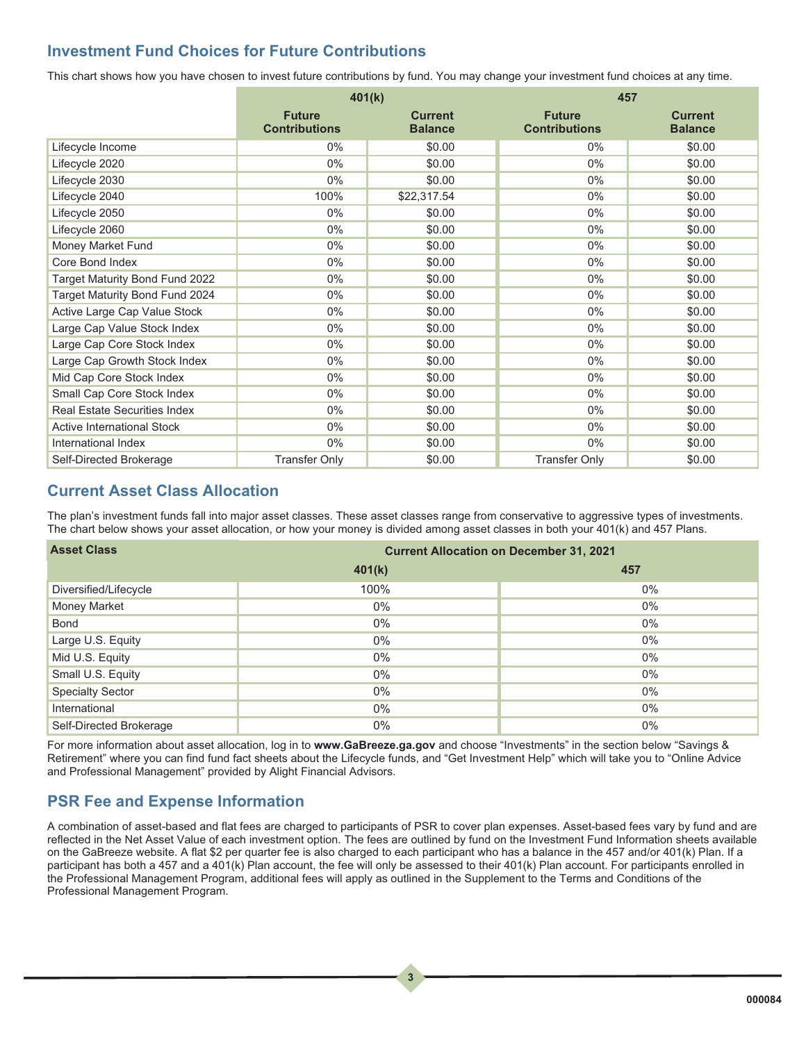#### **Investment Fund Choices for Future Contributions**

This chart shows how you have chosen to invest future contributions by fund. You may change your investment fund choices at any time.

|                                     | 401(k)                                |                                  | 457                                   |                                  |
|-------------------------------------|---------------------------------------|----------------------------------|---------------------------------------|----------------------------------|
|                                     | <b>Future</b><br><b>Contributions</b> | <b>Current</b><br><b>Balance</b> | <b>Future</b><br><b>Contributions</b> | <b>Current</b><br><b>Balance</b> |
| Lifecycle Income                    | $0\%$                                 | \$0.00                           | $0\%$                                 | \$0.00                           |
| Lifecycle 2020                      | $0\%$                                 | \$0.00                           | $0\%$                                 | \$0.00                           |
| Lifecycle 2030                      | $0\%$                                 | \$0.00                           | $0\%$                                 | \$0.00                           |
| Lifecycle 2040                      | 100%                                  | \$22,317.54                      | $0\%$                                 | \$0.00                           |
| Lifecycle 2050                      | $0\%$                                 | \$0.00                           | $0\%$                                 | \$0.00                           |
| Lifecycle 2060                      | $0\%$                                 | \$0.00                           | $0\%$                                 | \$0.00                           |
| <b>Money Market Fund</b>            | $0\%$                                 | \$0.00                           | $0\%$                                 | \$0.00                           |
| Core Bond Index                     | 0%                                    | \$0.00                           | 0%                                    | \$0.00                           |
| Target Maturity Bond Fund 2022      | $0\%$                                 | \$0.00                           | $0\%$                                 | \$0.00                           |
| Target Maturity Bond Fund 2024      | $0\%$                                 | \$0.00                           | $0\%$                                 | \$0.00                           |
| Active Large Cap Value Stock        | 0%                                    | \$0.00                           | $0\%$                                 | \$0.00                           |
| Large Cap Value Stock Index         | $0\%$                                 | \$0.00                           | $0\%$                                 | \$0.00                           |
| Large Cap Core Stock Index          | $0\%$                                 | \$0.00                           | $0\%$                                 | \$0.00                           |
| Large Cap Growth Stock Index        | $0\%$                                 | \$0.00                           | $0\%$                                 | \$0.00                           |
| Mid Cap Core Stock Index            | $0\%$                                 | \$0.00                           | $0\%$                                 | \$0.00                           |
| Small Cap Core Stock Index          | $0\%$                                 | \$0.00                           | $0\%$                                 | \$0.00                           |
| <b>Real Estate Securities Index</b> | $0\%$                                 | \$0.00                           | $0\%$                                 | \$0.00                           |
| <b>Active International Stock</b>   | $0\%$                                 | \$0.00                           | $0\%$                                 | \$0.00                           |
| International Index                 | $0\%$                                 | \$0.00                           | $0\%$                                 | \$0.00                           |
| Self-Directed Brokerage             | <b>Transfer Only</b>                  | \$0.00                           | <b>Transfer Only</b>                  | \$0.00                           |

#### **Current Asset Class Allocation**

The plan's investment funds fall into major asset classes. These asset classes range from conservative to aggressive types of investments. The chart below shows your asset allocation, or how your money is divided among asset classes in both your 401(k) and 457 Plans.

| <b>Asset Class</b>      | <b>Current Allocation on December 31, 2021</b> |       |  |  |
|-------------------------|------------------------------------------------|-------|--|--|
|                         | 401(k)                                         | 457   |  |  |
| Diversified/Lifecycle   | 100%                                           | $0\%$ |  |  |
| <b>Money Market</b>     | $0\%$                                          | $0\%$ |  |  |
| <b>Bond</b>             | $0\%$                                          | $0\%$ |  |  |
| Large U.S. Equity       | $0\%$                                          | $0\%$ |  |  |
| Mid U.S. Equity         | $0\%$                                          | $0\%$ |  |  |
| Small U.S. Equity       | $0\%$                                          | $0\%$ |  |  |
| <b>Specialty Sector</b> | $0\%$                                          | $0\%$ |  |  |
| International           | $0\%$                                          | $0\%$ |  |  |
| Self-Directed Brokerage | $0\%$                                          | $0\%$ |  |  |

For more information about asset allocation, log in to **www.GaBreeze.ga.gov** and choose "Investments" in the section below "Savings & Retirement" where you can find fund fact sheets about the Lifecycle funds, and "Get Investment Help" which will take you to "Online Advice and Professional Management" provided by Alight Financial Advisors.

## **PSR Fee and Expense Information**

A combination of asset-based and flat fees are charged to participants of PSR to cover plan expenses. Asset-based fees vary by fund and are reflected in the Net Asset Value of each investment option. The fees are outlined by fund on the Investment Fund Information sheets available on the GaBreeze website. A flat \$2 per quarter fee is also charged to each participant who has a balance in the 457 and/or 401(k) Plan. If a participant has both a 457 and a 401(k) Plan account, the fee will only be assessed to their 401(k) Plan account. For participants enrolled in the Professional Management Program, additional fees will apply as outlined in the Supplement to the Terms and Conditions of the Professional Management Program.

 $\begin{array}{|c|c|} \hline 3 \\ \hline \end{array}$ 

**3**